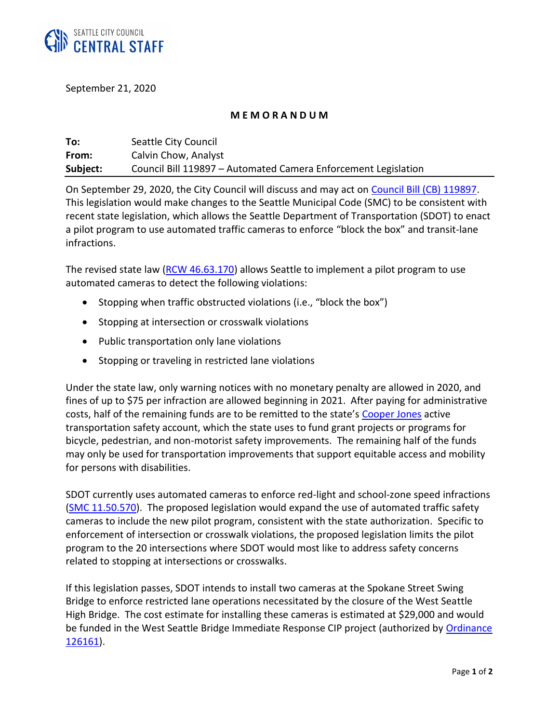

September 21, 2020

## **M E M O R A N D U M**

| To:      | Seattle City Council                                           |
|----------|----------------------------------------------------------------|
| From:    | Calvin Chow, Analyst                                           |
| Subject: | Council Bill 119897 - Automated Camera Enforcement Legislation |

On September 29, 2020, the City Council will discuss and may act on [Council Bill \(CB\) 119897.](http://seattle.legistar.com/LegislationDetail.aspx?ID=4646951&GUID=71678BE0-C91D-4C09-A8F2-D7A1BC35E702) This legislation would make changes to the Seattle Municipal Code (SMC) to be consistent with recent state legislation, which allows the Seattle Department of Transportation (SDOT) to enact a pilot program to use automated traffic cameras to enforce "block the box" and transit-lane infractions.

The revised state law [\(RCW 46.63.170\)](https://apps.leg.wa.gov/rcw/default.aspx?cite=46.63.170) allows Seattle to implement a pilot program to use automated cameras to detect the following violations:

- Stopping when traffic obstructed violations (i.e., "block the box")
- Stopping at intersection or crosswalk violations
- Public transportation only lane violations
- Stopping or traveling in restricted lane violations

Under the state law, only warning notices with no monetary penalty are allowed in 2020, and fines of up to \$75 per infraction are allowed beginning in 2021. After paying for administrative costs, half of the remaining funds are to be remitted to the state's [Cooper Jones](https://app.leg.wa.gov/RCW/default.aspx?cite=46.68.480) active transportation safety account, which the state uses to fund grant projects or programs for bicycle, pedestrian, and non-motorist safety improvements. The remaining half of the funds may only be used for transportation improvements that support equitable access and mobility for persons with disabilities.

SDOT currently uses automated cameras to enforce red-light and school-zone speed infractions [\(SMC 11.50.570\)](https://library.municode.com/wa/seattle/codes/municipal_code?nodeId=TIT11VETR_SUBTITLE_ITRCO_PT5DRRU_CH11.50OBTRNTDE_11.50.570AUTRSACA). The proposed legislation would expand the use of automated traffic safety cameras to include the new pilot program, consistent with the state authorization. Specific to enforcement of intersection or crosswalk violations, the proposed legislation limits the pilot program to the 20 intersections where SDOT would most like to address safety concerns related to stopping at intersections or crosswalks.

If this legislation passes, SDOT intends to install two cameras at the Spokane Street Swing Bridge to enforce restricted lane operations necessitated by the closure of the West Seattle High Bridge. The cost estimate for installing these cameras is estimated at \$29,000 and would be funded in the West Seattle Bridge Immediate Response CIP project (authorized by [Ordinance](https://seattle.legistar.com/LegislationDetail.aspx?ID=4611281&GUID=5CE34792-47EC-4C50-AFD3-8EEDCEF64DBA)  [126161\)](https://seattle.legistar.com/LegislationDetail.aspx?ID=4611281&GUID=5CE34792-47EC-4C50-AFD3-8EEDCEF64DBA).